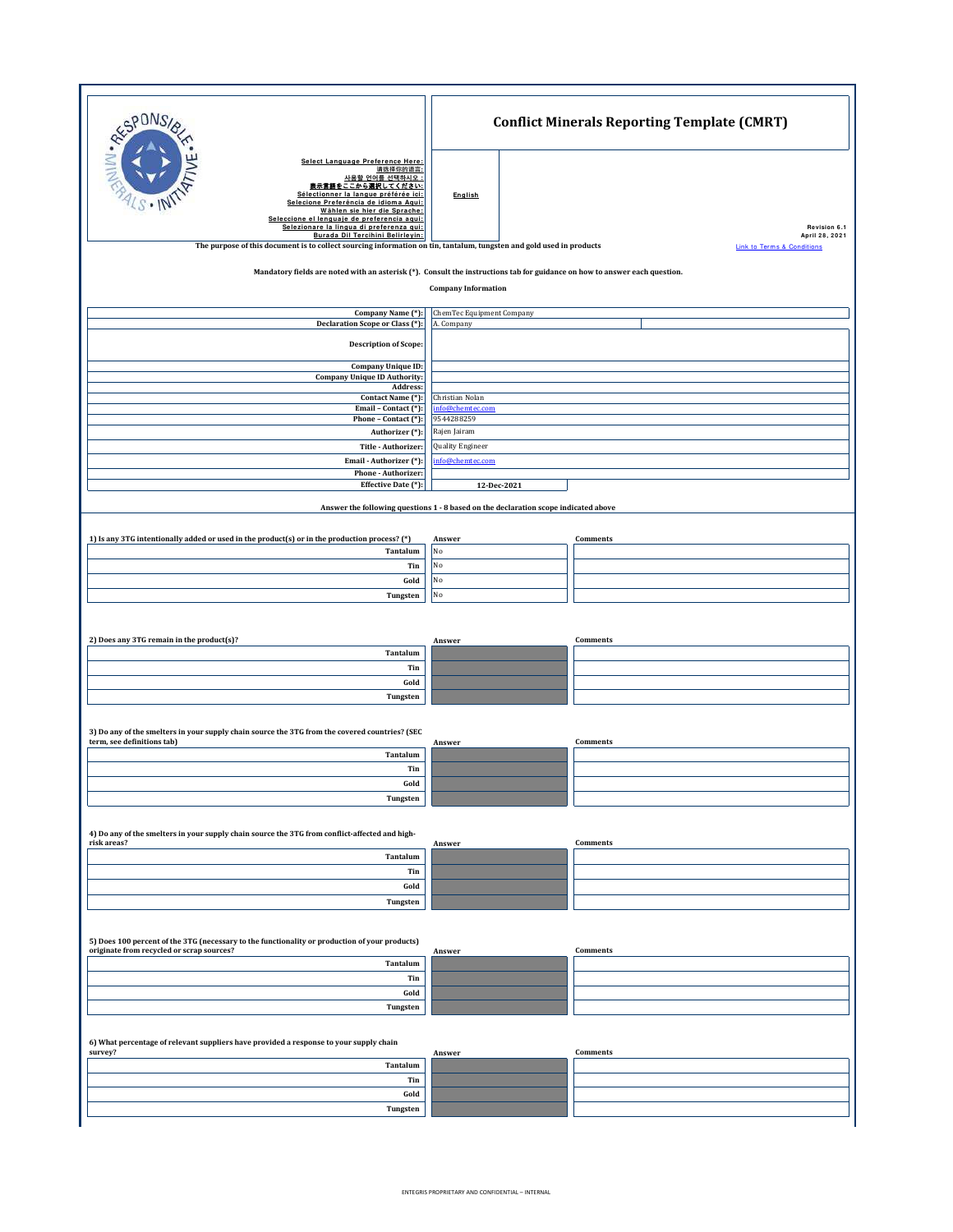| Select Language Preference Here:<br>请选择你的语言:<br>사용할 언어를 선택하시오 :<br>表示言語をここから選択してください:<br>Sélectionner la langue préférée ici:<br>English<br>Selecione Preferência de idioma Aqui:<br>Wählen sie hier die Sprache:<br>Seleccione el lenguaje de preferencia aqui:<br>Selezionare la lingua di preferenza qui:<br>Burada Dil Tercihini Belirleyin:<br>The purpose of this document is to collect sourcing information on tin, tantalum, tungsten and gold used in products<br><b>Link to Terms &amp; Conditions</b><br>Mandatory fields are noted with an asterisk (*). Consult the instructions tab for guidance on how to answer each question.<br><b>Company Information</b><br>Company Name (*):<br>ChemTec Equipment Company<br>Declaration Scope or Class (*):<br>A. Company<br><b>Description of Scope:</b><br><b>Company Unique ID:</b><br><b>Company Unique ID Authority:</b><br>Address:<br>Contact Name (*):<br>Christian Nolan<br>info@chemtec.com<br>Email - Contact (*):<br>9544288259<br>Phone - Contact (*):<br>Rajen Jairam<br>Authorizer (*):<br>Quality Engineer<br>Title - Authorizer:<br>nfo@chemtec.com<br>Email - Authorizer (*):<br>Phone - Authorizer:<br>Effective Date (*):<br>12-Dec-2021<br>Answer the following questions 1 - 8 based on the declaration scope indicated above<br>1) Is any 3TG intentionally added or used in the product(s) or in the production process? (*)<br><b>Comments</b><br>Answer<br>No<br>Tantalum<br>No<br>Tin<br>No<br>Gold<br>No<br>Tungsten<br>2) Does any 3TG remain in the product(s)?<br><b>Comments</b><br>Answer<br>Tantalum<br>Tin<br>Gold<br>Tungsten<br>3) Do any of the smelters in your supply chain source the 3TG from the covered countries? (SEC<br>term, see definitions tab)<br><b>Comments</b><br>Answer<br>Tantalum<br>Tin<br>Gold<br>Tungsten<br>4) Do any of the smelters in your supply chain source the 3TG from conflict-affected and high-<br>risk areas?<br>Comments<br>Answer<br>Tantalum<br>Tin<br>Gold<br>Tungsten<br>5) Does 100 percent of the 3TG (necessary to the functionality or production of your products)<br>originate from recycled or scrap sources?<br>Comments<br>Answer<br>Tantalum<br>Tin<br>Gold<br>Tungsten | RESPONS | <b>Conflict Minerals Reporting Template (CMRT)</b> |
|------------------------------------------------------------------------------------------------------------------------------------------------------------------------------------------------------------------------------------------------------------------------------------------------------------------------------------------------------------------------------------------------------------------------------------------------------------------------------------------------------------------------------------------------------------------------------------------------------------------------------------------------------------------------------------------------------------------------------------------------------------------------------------------------------------------------------------------------------------------------------------------------------------------------------------------------------------------------------------------------------------------------------------------------------------------------------------------------------------------------------------------------------------------------------------------------------------------------------------------------------------------------------------------------------------------------------------------------------------------------------------------------------------------------------------------------------------------------------------------------------------------------------------------------------------------------------------------------------------------------------------------------------------------------------------------------------------------------------------------------------------------------------------------------------------------------------------------------------------------------------------------------------------------------------------------------------------------------------------------------------------------------------------------------------------------------------------------------------------------------------------------------------------------------------------------------------------------------|---------|----------------------------------------------------|
|                                                                                                                                                                                                                                                                                                                                                                                                                                                                                                                                                                                                                                                                                                                                                                                                                                                                                                                                                                                                                                                                                                                                                                                                                                                                                                                                                                                                                                                                                                                                                                                                                                                                                                                                                                                                                                                                                                                                                                                                                                                                                                                                                                                                                        |         | Revision 6.1<br>April 28, 2021                     |
|                                                                                                                                                                                                                                                                                                                                                                                                                                                                                                                                                                                                                                                                                                                                                                                                                                                                                                                                                                                                                                                                                                                                                                                                                                                                                                                                                                                                                                                                                                                                                                                                                                                                                                                                                                                                                                                                                                                                                                                                                                                                                                                                                                                                                        |         |                                                    |
|                                                                                                                                                                                                                                                                                                                                                                                                                                                                                                                                                                                                                                                                                                                                                                                                                                                                                                                                                                                                                                                                                                                                                                                                                                                                                                                                                                                                                                                                                                                                                                                                                                                                                                                                                                                                                                                                                                                                                                                                                                                                                                                                                                                                                        |         |                                                    |
|                                                                                                                                                                                                                                                                                                                                                                                                                                                                                                                                                                                                                                                                                                                                                                                                                                                                                                                                                                                                                                                                                                                                                                                                                                                                                                                                                                                                                                                                                                                                                                                                                                                                                                                                                                                                                                                                                                                                                                                                                                                                                                                                                                                                                        |         |                                                    |
|                                                                                                                                                                                                                                                                                                                                                                                                                                                                                                                                                                                                                                                                                                                                                                                                                                                                                                                                                                                                                                                                                                                                                                                                                                                                                                                                                                                                                                                                                                                                                                                                                                                                                                                                                                                                                                                                                                                                                                                                                                                                                                                                                                                                                        |         |                                                    |
|                                                                                                                                                                                                                                                                                                                                                                                                                                                                                                                                                                                                                                                                                                                                                                                                                                                                                                                                                                                                                                                                                                                                                                                                                                                                                                                                                                                                                                                                                                                                                                                                                                                                                                                                                                                                                                                                                                                                                                                                                                                                                                                                                                                                                        |         |                                                    |
|                                                                                                                                                                                                                                                                                                                                                                                                                                                                                                                                                                                                                                                                                                                                                                                                                                                                                                                                                                                                                                                                                                                                                                                                                                                                                                                                                                                                                                                                                                                                                                                                                                                                                                                                                                                                                                                                                                                                                                                                                                                                                                                                                                                                                        |         |                                                    |
|                                                                                                                                                                                                                                                                                                                                                                                                                                                                                                                                                                                                                                                                                                                                                                                                                                                                                                                                                                                                                                                                                                                                                                                                                                                                                                                                                                                                                                                                                                                                                                                                                                                                                                                                                                                                                                                                                                                                                                                                                                                                                                                                                                                                                        |         |                                                    |
|                                                                                                                                                                                                                                                                                                                                                                                                                                                                                                                                                                                                                                                                                                                                                                                                                                                                                                                                                                                                                                                                                                                                                                                                                                                                                                                                                                                                                                                                                                                                                                                                                                                                                                                                                                                                                                                                                                                                                                                                                                                                                                                                                                                                                        |         |                                                    |
|                                                                                                                                                                                                                                                                                                                                                                                                                                                                                                                                                                                                                                                                                                                                                                                                                                                                                                                                                                                                                                                                                                                                                                                                                                                                                                                                                                                                                                                                                                                                                                                                                                                                                                                                                                                                                                                                                                                                                                                                                                                                                                                                                                                                                        |         |                                                    |
|                                                                                                                                                                                                                                                                                                                                                                                                                                                                                                                                                                                                                                                                                                                                                                                                                                                                                                                                                                                                                                                                                                                                                                                                                                                                                                                                                                                                                                                                                                                                                                                                                                                                                                                                                                                                                                                                                                                                                                                                                                                                                                                                                                                                                        |         |                                                    |
|                                                                                                                                                                                                                                                                                                                                                                                                                                                                                                                                                                                                                                                                                                                                                                                                                                                                                                                                                                                                                                                                                                                                                                                                                                                                                                                                                                                                                                                                                                                                                                                                                                                                                                                                                                                                                                                                                                                                                                                                                                                                                                                                                                                                                        |         |                                                    |
|                                                                                                                                                                                                                                                                                                                                                                                                                                                                                                                                                                                                                                                                                                                                                                                                                                                                                                                                                                                                                                                                                                                                                                                                                                                                                                                                                                                                                                                                                                                                                                                                                                                                                                                                                                                                                                                                                                                                                                                                                                                                                                                                                                                                                        |         |                                                    |
|                                                                                                                                                                                                                                                                                                                                                                                                                                                                                                                                                                                                                                                                                                                                                                                                                                                                                                                                                                                                                                                                                                                                                                                                                                                                                                                                                                                                                                                                                                                                                                                                                                                                                                                                                                                                                                                                                                                                                                                                                                                                                                                                                                                                                        |         |                                                    |
|                                                                                                                                                                                                                                                                                                                                                                                                                                                                                                                                                                                                                                                                                                                                                                                                                                                                                                                                                                                                                                                                                                                                                                                                                                                                                                                                                                                                                                                                                                                                                                                                                                                                                                                                                                                                                                                                                                                                                                                                                                                                                                                                                                                                                        |         |                                                    |
|                                                                                                                                                                                                                                                                                                                                                                                                                                                                                                                                                                                                                                                                                                                                                                                                                                                                                                                                                                                                                                                                                                                                                                                                                                                                                                                                                                                                                                                                                                                                                                                                                                                                                                                                                                                                                                                                                                                                                                                                                                                                                                                                                                                                                        |         |                                                    |
|                                                                                                                                                                                                                                                                                                                                                                                                                                                                                                                                                                                                                                                                                                                                                                                                                                                                                                                                                                                                                                                                                                                                                                                                                                                                                                                                                                                                                                                                                                                                                                                                                                                                                                                                                                                                                                                                                                                                                                                                                                                                                                                                                                                                                        |         |                                                    |
|                                                                                                                                                                                                                                                                                                                                                                                                                                                                                                                                                                                                                                                                                                                                                                                                                                                                                                                                                                                                                                                                                                                                                                                                                                                                                                                                                                                                                                                                                                                                                                                                                                                                                                                                                                                                                                                                                                                                                                                                                                                                                                                                                                                                                        |         |                                                    |
|                                                                                                                                                                                                                                                                                                                                                                                                                                                                                                                                                                                                                                                                                                                                                                                                                                                                                                                                                                                                                                                                                                                                                                                                                                                                                                                                                                                                                                                                                                                                                                                                                                                                                                                                                                                                                                                                                                                                                                                                                                                                                                                                                                                                                        |         |                                                    |
|                                                                                                                                                                                                                                                                                                                                                                                                                                                                                                                                                                                                                                                                                                                                                                                                                                                                                                                                                                                                                                                                                                                                                                                                                                                                                                                                                                                                                                                                                                                                                                                                                                                                                                                                                                                                                                                                                                                                                                                                                                                                                                                                                                                                                        |         |                                                    |
|                                                                                                                                                                                                                                                                                                                                                                                                                                                                                                                                                                                                                                                                                                                                                                                                                                                                                                                                                                                                                                                                                                                                                                                                                                                                                                                                                                                                                                                                                                                                                                                                                                                                                                                                                                                                                                                                                                                                                                                                                                                                                                                                                                                                                        |         |                                                    |
|                                                                                                                                                                                                                                                                                                                                                                                                                                                                                                                                                                                                                                                                                                                                                                                                                                                                                                                                                                                                                                                                                                                                                                                                                                                                                                                                                                                                                                                                                                                                                                                                                                                                                                                                                                                                                                                                                                                                                                                                                                                                                                                                                                                                                        |         |                                                    |
|                                                                                                                                                                                                                                                                                                                                                                                                                                                                                                                                                                                                                                                                                                                                                                                                                                                                                                                                                                                                                                                                                                                                                                                                                                                                                                                                                                                                                                                                                                                                                                                                                                                                                                                                                                                                                                                                                                                                                                                                                                                                                                                                                                                                                        |         |                                                    |
|                                                                                                                                                                                                                                                                                                                                                                                                                                                                                                                                                                                                                                                                                                                                                                                                                                                                                                                                                                                                                                                                                                                                                                                                                                                                                                                                                                                                                                                                                                                                                                                                                                                                                                                                                                                                                                                                                                                                                                                                                                                                                                                                                                                                                        |         |                                                    |
|                                                                                                                                                                                                                                                                                                                                                                                                                                                                                                                                                                                                                                                                                                                                                                                                                                                                                                                                                                                                                                                                                                                                                                                                                                                                                                                                                                                                                                                                                                                                                                                                                                                                                                                                                                                                                                                                                                                                                                                                                                                                                                                                                                                                                        |         |                                                    |
|                                                                                                                                                                                                                                                                                                                                                                                                                                                                                                                                                                                                                                                                                                                                                                                                                                                                                                                                                                                                                                                                                                                                                                                                                                                                                                                                                                                                                                                                                                                                                                                                                                                                                                                                                                                                                                                                                                                                                                                                                                                                                                                                                                                                                        |         |                                                    |
|                                                                                                                                                                                                                                                                                                                                                                                                                                                                                                                                                                                                                                                                                                                                                                                                                                                                                                                                                                                                                                                                                                                                                                                                                                                                                                                                                                                                                                                                                                                                                                                                                                                                                                                                                                                                                                                                                                                                                                                                                                                                                                                                                                                                                        |         |                                                    |
|                                                                                                                                                                                                                                                                                                                                                                                                                                                                                                                                                                                                                                                                                                                                                                                                                                                                                                                                                                                                                                                                                                                                                                                                                                                                                                                                                                                                                                                                                                                                                                                                                                                                                                                                                                                                                                                                                                                                                                                                                                                                                                                                                                                                                        |         |                                                    |
|                                                                                                                                                                                                                                                                                                                                                                                                                                                                                                                                                                                                                                                                                                                                                                                                                                                                                                                                                                                                                                                                                                                                                                                                                                                                                                                                                                                                                                                                                                                                                                                                                                                                                                                                                                                                                                                                                                                                                                                                                                                                                                                                                                                                                        |         |                                                    |
|                                                                                                                                                                                                                                                                                                                                                                                                                                                                                                                                                                                                                                                                                                                                                                                                                                                                                                                                                                                                                                                                                                                                                                                                                                                                                                                                                                                                                                                                                                                                                                                                                                                                                                                                                                                                                                                                                                                                                                                                                                                                                                                                                                                                                        |         |                                                    |
|                                                                                                                                                                                                                                                                                                                                                                                                                                                                                                                                                                                                                                                                                                                                                                                                                                                                                                                                                                                                                                                                                                                                                                                                                                                                                                                                                                                                                                                                                                                                                                                                                                                                                                                                                                                                                                                                                                                                                                                                                                                                                                                                                                                                                        |         |                                                    |
|                                                                                                                                                                                                                                                                                                                                                                                                                                                                                                                                                                                                                                                                                                                                                                                                                                                                                                                                                                                                                                                                                                                                                                                                                                                                                                                                                                                                                                                                                                                                                                                                                                                                                                                                                                                                                                                                                                                                                                                                                                                                                                                                                                                                                        |         |                                                    |
|                                                                                                                                                                                                                                                                                                                                                                                                                                                                                                                                                                                                                                                                                                                                                                                                                                                                                                                                                                                                                                                                                                                                                                                                                                                                                                                                                                                                                                                                                                                                                                                                                                                                                                                                                                                                                                                                                                                                                                                                                                                                                                                                                                                                                        |         |                                                    |
| 6) What percentage of relevant suppliers have provided a response to your supply chain                                                                                                                                                                                                                                                                                                                                                                                                                                                                                                                                                                                                                                                                                                                                                                                                                                                                                                                                                                                                                                                                                                                                                                                                                                                                                                                                                                                                                                                                                                                                                                                                                                                                                                                                                                                                                                                                                                                                                                                                                                                                                                                                 |         |                                                    |
| survey?<br>Comments<br>Answer<br>Tantalum                                                                                                                                                                                                                                                                                                                                                                                                                                                                                                                                                                                                                                                                                                                                                                                                                                                                                                                                                                                                                                                                                                                                                                                                                                                                                                                                                                                                                                                                                                                                                                                                                                                                                                                                                                                                                                                                                                                                                                                                                                                                                                                                                                              |         |                                                    |
| Tin                                                                                                                                                                                                                                                                                                                                                                                                                                                                                                                                                                                                                                                                                                                                                                                                                                                                                                                                                                                                                                                                                                                                                                                                                                                                                                                                                                                                                                                                                                                                                                                                                                                                                                                                                                                                                                                                                                                                                                                                                                                                                                                                                                                                                    |         |                                                    |
| Gold<br>Tungsten                                                                                                                                                                                                                                                                                                                                                                                                                                                                                                                                                                                                                                                                                                                                                                                                                                                                                                                                                                                                                                                                                                                                                                                                                                                                                                                                                                                                                                                                                                                                                                                                                                                                                                                                                                                                                                                                                                                                                                                                                                                                                                                                                                                                       |         |                                                    |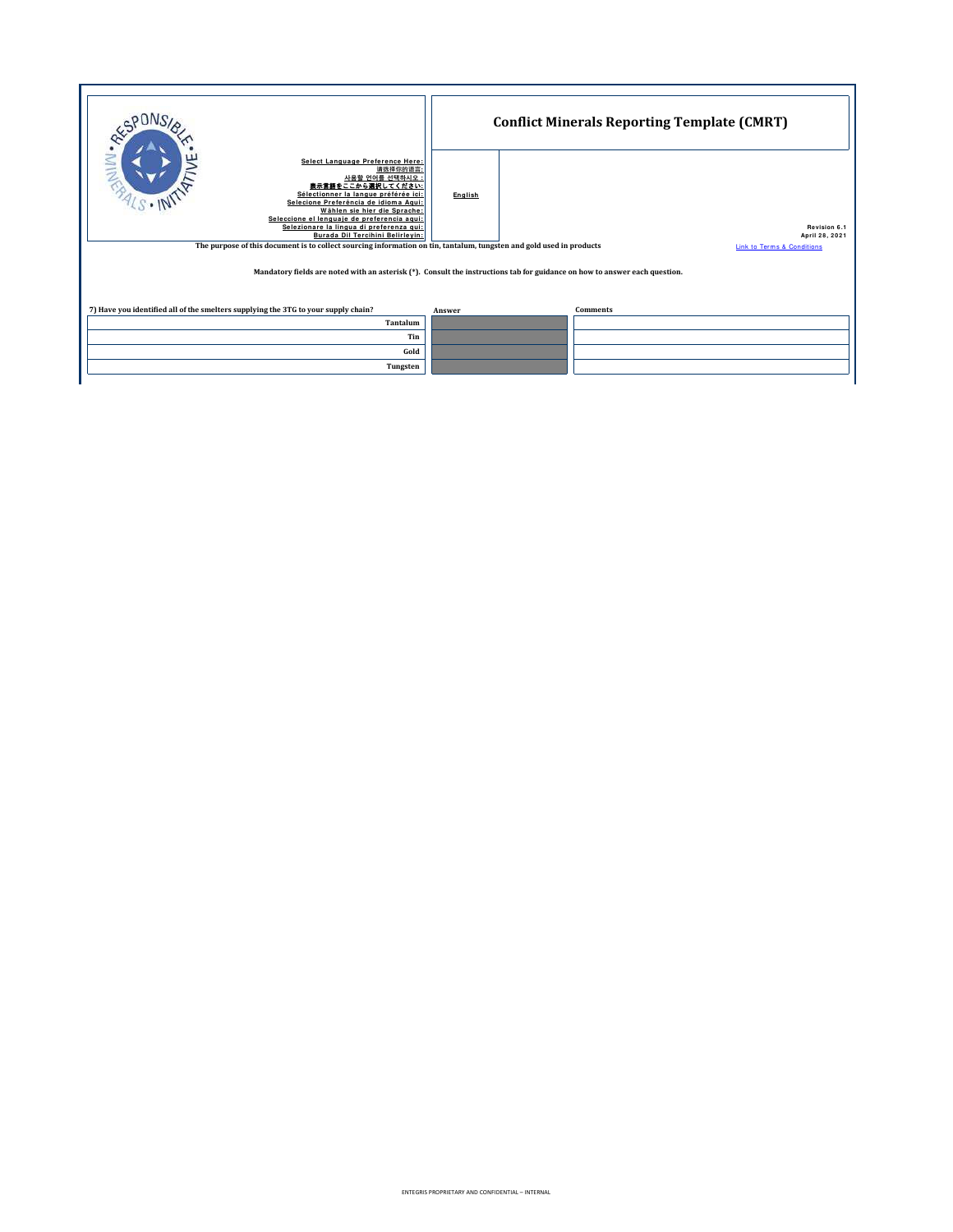|                                                                                                                                                                                                                                                                                                                                                                                                                                                                   |         | <b>Conflict Minerals Reporting Template (CMRT)</b>                                                                         |                                                                         |  |
|-------------------------------------------------------------------------------------------------------------------------------------------------------------------------------------------------------------------------------------------------------------------------------------------------------------------------------------------------------------------------------------------------------------------------------------------------------------------|---------|----------------------------------------------------------------------------------------------------------------------------|-------------------------------------------------------------------------|--|
| Select Language Preference Here:<br>≧<br>请选择你的语言<br>사용할 언어를 선택하시오 :<br>表示言語をここから選択してください:<br>Sélectionner la langue préférée ici:<br>Selecione Preferência de idioma Agui:<br>Wählen sie hier die Sprache:<br>Seleccione el lenguaie de preferencia agui:<br>Selezionare la lingua di preferenza gui:<br>Burada Dil Tercihini Belirlevin:<br>The purpose of this document is to collect sourcing information on tin, tantalum, tungsten and gold used in products | English | Mandatory fields are noted with an asterisk (*). Consult the instructions tab for guidance on how to answer each question. | Revision 6.1<br>April 28, 2021<br><b>Link to Terms &amp; Conditions</b> |  |
| 7) Have you identified all of the smelters supplying the 3TG to your supply chain?                                                                                                                                                                                                                                                                                                                                                                                | Answer  | <b>Comments</b>                                                                                                            |                                                                         |  |
| Tantalum                                                                                                                                                                                                                                                                                                                                                                                                                                                          |         |                                                                                                                            |                                                                         |  |
|                                                                                                                                                                                                                                                                                                                                                                                                                                                                   | Tin     |                                                                                                                            |                                                                         |  |
| Gold                                                                                                                                                                                                                                                                                                                                                                                                                                                              |         |                                                                                                                            |                                                                         |  |
|                                                                                                                                                                                                                                                                                                                                                                                                                                                                   |         |                                                                                                                            |                                                                         |  |